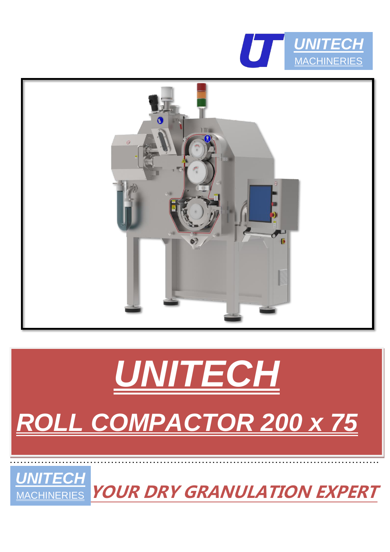





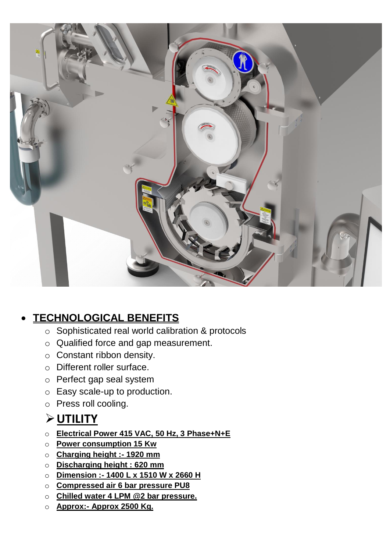

#### • **TECHNOLOGICAL BENEFITS**

- o Sophisticated real world calibration & protocols
- o Qualified force and gap measurement.
- o Constant ribbon density.
- o Different roller surface.
- o Perfect gap seal system
- o Easy scale-up to production.
- o Press roll cooling.

# ➢**UTILITY**

- o **Electrical Power 415 VAC, 50 Hz, 3 Phase+N+E**
- o **Power consumption 15 Kw**
- o **Charging height :- 1920 mm**
- o **Discharging height : 620 mm**
- o **Dimension :- 1400 L x 1510 W x 2660 H**
- o **Compressed air 6 bar pressure PU8**
- o **Chilled water 4 LPM @2 bar pressure.**
- o **Approx:- Approx 2500 Kg.**